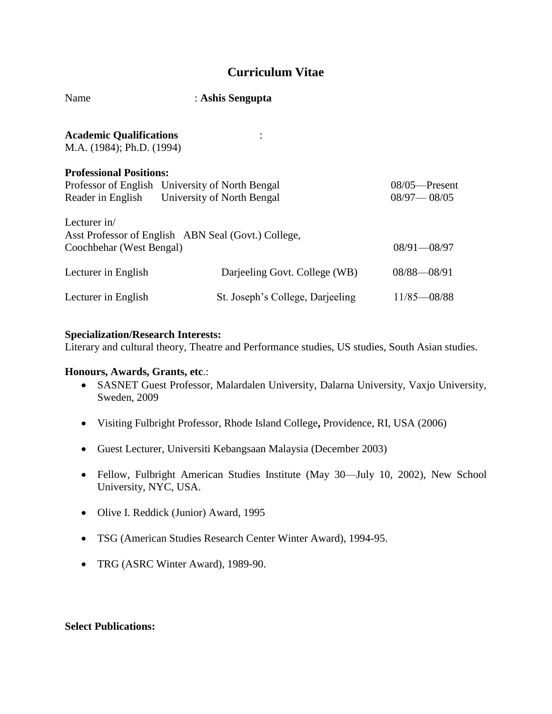# **Curriculum Vitae**

| Name                                                        | : Ashis Sengupta                                                                                |                                     |
|-------------------------------------------------------------|-------------------------------------------------------------------------------------------------|-------------------------------------|
| <b>Academic Qualifications</b><br>M.A. (1984); Ph.D. (1994) | $\ddot{\phantom{a}}$                                                                            |                                     |
| <b>Professional Positions:</b>                              | Professor of English University of North Bengal<br>Reader in English University of North Bengal | $08/05$ —Present<br>$08/97 - 08/05$ |
| Lecturer in/<br>Coochbehar (West Bengal)                    | Asst Professor of English ABN Seal (Govt.) College,                                             | $08/91 - 08/97$                     |
| Lecturer in English                                         | Darjeeling Govt. College (WB)                                                                   | $08/88 - 08/91$                     |
| Lecturer in English                                         | St. Joseph's College, Darjeeling                                                                | $11/85 - 08/88$                     |

#### **Specialization/Research Interests:**

Literary and cultural theory, Theatre and Performance studies, US studies, South Asian studies.

#### **Honours, Awards, Grants, etc**.:

- SASNET Guest Professor, Malardalen University, Dalarna University, Vaxjo University, Sweden, 2009
- Visiting Fulbright Professor, Rhode Island College**,** Providence, RI, USA (2006)
- Guest Lecturer, Universiti Kebangsaan Malaysia (December 2003)
- Fellow, Fulbright American Studies Institute (May 30—July 10, 2002), New School University, NYC, USA.
- Olive I. Reddick (Junior) Award, 1995
- TSG (American Studies Research Center Winter Award), 1994-95.
- TRG (ASRC Winter Award), 1989-90.

#### **Select Publications:**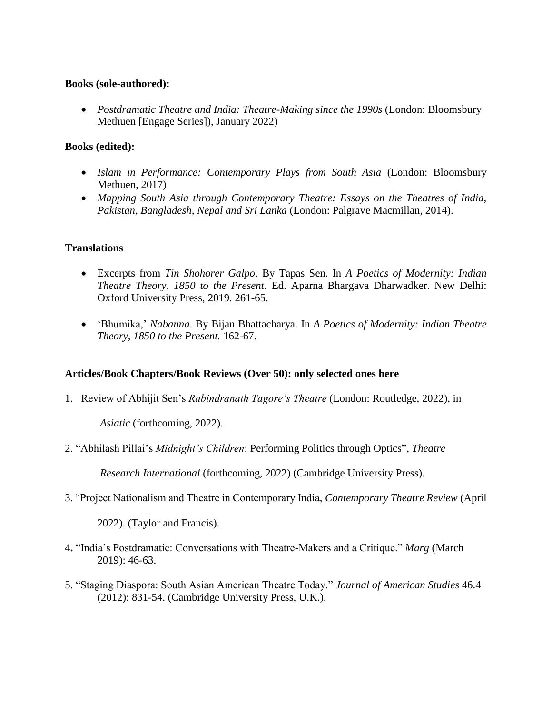#### **Books (sole-authored):**

 *Postdramatic Theatre and India: Theatre-Making since the 1990s* (London: Bloomsbury Methuen [Engage Series]), January 2022)

### **Books (edited):**

- *Islam in Performance: Contemporary Plays from South Asia* (London: Bloomsbury Methuen, 2017)
- *Mapping South Asia through Contemporary Theatre: Essays on the Theatres of India, Pakistan, Bangladesh, Nepal and Sri Lanka* (London: Palgrave Macmillan, 2014).

### **Translations**

- Excerpts from *Tin Shohorer Galpo*. By Tapas Sen. In *A Poetics of Modernity: Indian Theatre Theory, 1850 to the Present.* Ed. Aparna Bhargava Dharwadker. New Delhi: Oxford University Press, 2019. 261-65.
- 'Bhumika,' *Nabanna*. By Bijan Bhattacharya. In *A Poetics of Modernity: Indian Theatre Theory, 1850 to the Present.* 162-67.

#### **Articles/Book Chapters/Book Reviews (Over 50): only selected ones here**

1. Review of Abhijit Sen's *Rabindranath Tagore's Theatre* (London: Routledge, 2022), in

*Asiatic* (forthcoming, 2022).

2. "Abhilash Pillai's *Midnight's Children*: Performing Politics through Optics", *Theatre* 

 *Research International* (forthcoming, 2022) (Cambridge University Press).

3. "Project Nationalism and Theatre in Contemporary India, *Contemporary Theatre Review* (April

2022). (Taylor and Francis).

- 4**.** "India's Postdramatic: Conversations with Theatre-Makers and a Critique." *Marg* (March 2019): 46-63.
- 5. "Staging Diaspora: South Asian American Theatre Today." *Journal of American Studies* 46.4 (2012): 831-54. (Cambridge University Press, U.K.).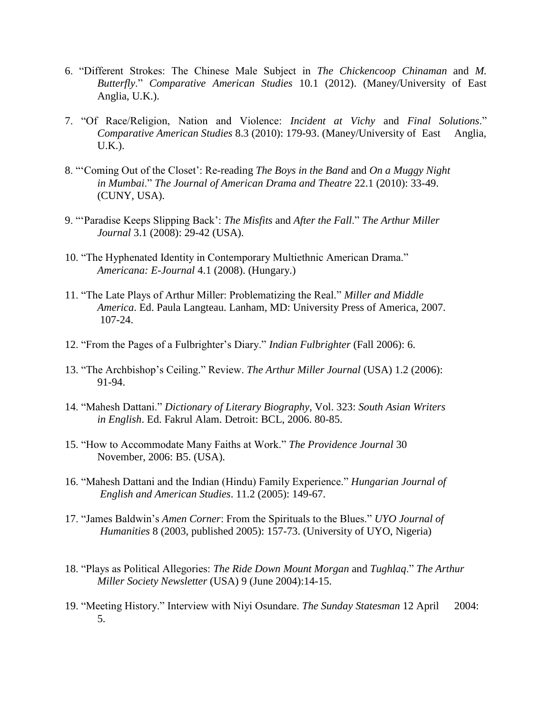- 6. "Different Strokes: The Chinese Male Subject in *The Chickencoop Chinaman* and *M. Butterfly*." *Comparative American Studies* 10.1 (2012). (Maney/University of East Anglia, U.K.).
- 7. "Of Race/Religion, Nation and Violence: *Incident at Vichy* and *Final Solutions*." *Comparative American Studies* 8.3 (2010): 179-93. (Maney/University of East Anglia, U.K.).
- 8. "'Coming Out of the Closet': Re-reading *The Boys in the Band* and *On a Muggy Night in Mumbai*." *The Journal of American Drama and Theatre* 22.1 (2010): 33-49. (CUNY, USA).
- 9. "'Paradise Keeps Slipping Back': *The Misfits* and *After the Fall*." *The Arthur Miller Journal* 3.1 (2008): 29-42 (USA).
- 10. "The Hyphenated Identity in Contemporary Multiethnic American Drama." *Americana: E-Journal* 4.1 (2008). (Hungary.)
- 11. "The Late Plays of Arthur Miller: Problematizing the Real." *Miller and Middle America*. Ed. Paula Langteau. Lanham, MD: University Press of America, 2007. 107-24.
- 12. "From the Pages of a Fulbrighter's Diary." *Indian Fulbrighter* (Fall 2006): 6.
- 13. "The Archbishop's Ceiling." Review. *The Arthur Miller Journal* (USA) 1.2 (2006): 91-94.
- 14. "Mahesh Dattani." *Dictionary of Literary Biography*, Vol. 323: *South Asian Writers in English*. Ed. Fakrul Alam. Detroit: BCL, 2006. 80-85.
- 15. "How to Accommodate Many Faiths at Work." *The Providence Journal* 30 November, 2006: B5. (USA).
- 16. "Mahesh Dattani and the Indian (Hindu) Family Experience." *Hungarian Journal of English and American Studies*. 11.2 (2005): 149-67.
- 17. "James Baldwin's *Amen Corner*: From the Spirituals to the Blues." *UYO Journal of Humanities* 8 (2003, published 2005): 157-73. (University of UYO, Nigeria)
- 18. "Plays as Political Allegories: *The Ride Down Mount Morgan* and *Tughlaq*." *The Arthur Miller Society Newsletter* (USA) 9 (June 2004):14-15.
- 19. "Meeting History." Interview with Niyi Osundare. *The Sunday Statesman* 12 April 2004: 5.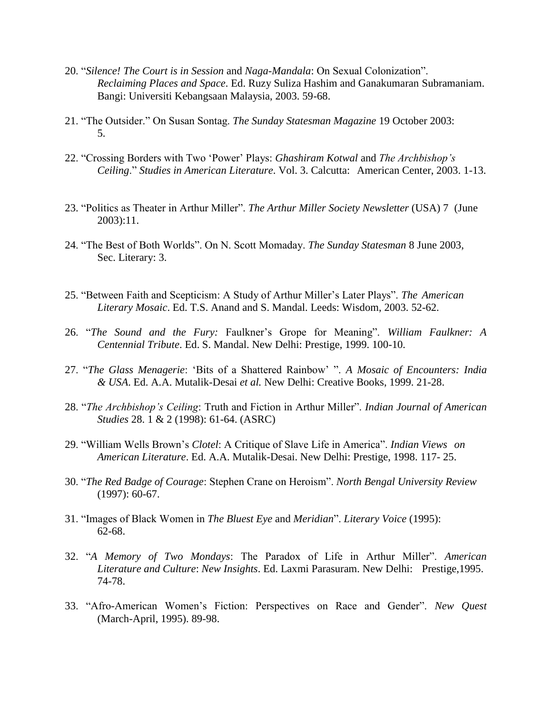- 20. "*Silence! The Court is in Session* and *Naga-Mandala*: On Sexual Colonization". *Reclaiming Places and Space*. Ed. Ruzy Suliza Hashim and Ganakumaran Subramaniam. Bangi: Universiti Kebangsaan Malaysia, 2003. 59-68.
- 21. "The Outsider." On Susan Sontag. *The Sunday Statesman Magazine* 19 October 2003: 5.
- 22. "Crossing Borders with Two 'Power' Plays: *Ghashiram Kotwal* and *The Archbishop's Ceiling*." *Studies in American Literature*. Vol. 3. Calcutta: American Center, 2003. 1-13.
- 23. "Politics as Theater in Arthur Miller". *The Arthur Miller Society Newsletter* (USA) 7 (June 2003):11.
- 24. "The Best of Both Worlds". On N. Scott Momaday. *The Sunday Statesman* 8 June 2003, Sec. Literary: 3.
- 25. "Between Faith and Scepticism: A Study of Arthur Miller's Later Plays". *The American Literary Mosaic*. Ed. T.S. Anand and S. Mandal. Leeds: Wisdom, 2003. 52-62.
- 26. "*The Sound and the Fury:* Faulkner's Grope for Meaning". *William Faulkner: A Centennial Tribute*. Ed. S. Mandal. New Delhi: Prestige, 1999. 100-10.
- 27. "*The Glass Menagerie*: 'Bits of a Shattered Rainbow' ". *A Mosaic of Encounters: India & USA*. Ed. A.A. Mutalik-Desai *et al.* New Delhi: Creative Books, 1999. 21-28.
- 28. "*The Archbishop's Ceiling*: Truth and Fiction in Arthur Miller". *Indian Journal of American Studies* 28. 1 & 2 (1998): 61-64. (ASRC)
- 29. "William Wells Brown's *Clotel*: A Critique of Slave Life in America". *Indian Views on American Literature*. Ed. A.A. Mutalik-Desai. New Delhi: Prestige, 1998. 117- 25.
- 30. "*The Red Badge of Courage*: Stephen Crane on Heroism". *North Bengal University Review* (1997): 60-67.
- 31. "Images of Black Women in *The Bluest Eye* and *Meridian*". *Literary Voice* (1995): 62-68.
- 32. "*A Memory of Two Mondays*: The Paradox of Life in Arthur Miller". *American Literature and Culture*: *New Insights*. Ed. Laxmi Parasuram. New Delhi: Prestige,1995. 74-78.
- 33. "Afro-American Women's Fiction: Perspectives on Race and Gender". *New Quest* (March-April, 1995). 89-98.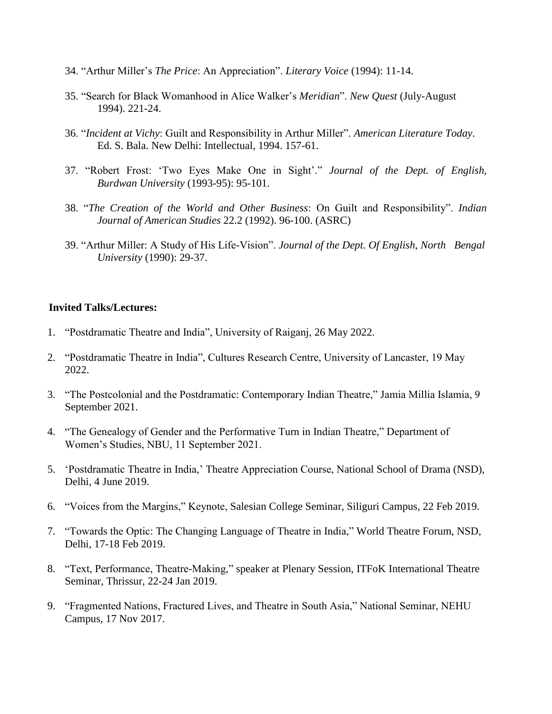- 34. "Arthur Miller's *The Price*: An Appreciation". *Literary Voice* (1994): 11-14.
- 35. "Search for Black Womanhood in Alice Walker's *Meridian*". *New Quest* (July-August 1994). 221-24.
- 36. "*Incident at Vichy*: Guilt and Responsibility in Arthur Miller". *American Literature Today*. Ed. S. Bala. New Delhi: Intellectual, 1994. 157-61.
- 37. "Robert Frost: 'Two Eyes Make One in Sight'." *Journal of the Dept. of English, Burdwan University* (1993-95): 95-101.
- 38. "*The Creation of the World and Other Business*: On Guilt and Responsibility". *Indian Journal of American Studies* 22.2 (1992). 96-100. (ASRC)
- 39. "Arthur Miller: A Study of His Life-Vision". *Journal of the Dept. Of English, North Bengal University* (1990): 29-37.

### **Invited Talks/Lectures:**

- 1. "Postdramatic Theatre and India", University of Raiganj, 26 May 2022.
- 2. "Postdramatic Theatre in India", Cultures Research Centre, University of Lancaster, 19 May 2022.
- 3. "The Postcolonial and the Postdramatic: Contemporary Indian Theatre," Jamia Millia Islamia, 9 September 2021.
- 4. "The Genealogy of Gender and the Performative Turn in Indian Theatre," Department of Women's Studies, NBU, 11 September 2021.
- 5. 'Postdramatic Theatre in India,' Theatre Appreciation Course, National School of Drama (NSD), Delhi, 4 June 2019.
- 6. "Voices from the Margins," Keynote, Salesian College Seminar, Siliguri Campus, 22 Feb 2019.
- 7. "Towards the Optic: The Changing Language of Theatre in India," World Theatre Forum, NSD, Delhi, 17-18 Feb 2019.
- 8. "Text, Performance, Theatre-Making," speaker at Plenary Session, ITFoK International Theatre Seminar, Thrissur, 22-24 Jan 2019.
- 9. "Fragmented Nations, Fractured Lives, and Theatre in South Asia," National Seminar, NEHU Campus, 17 Nov 2017.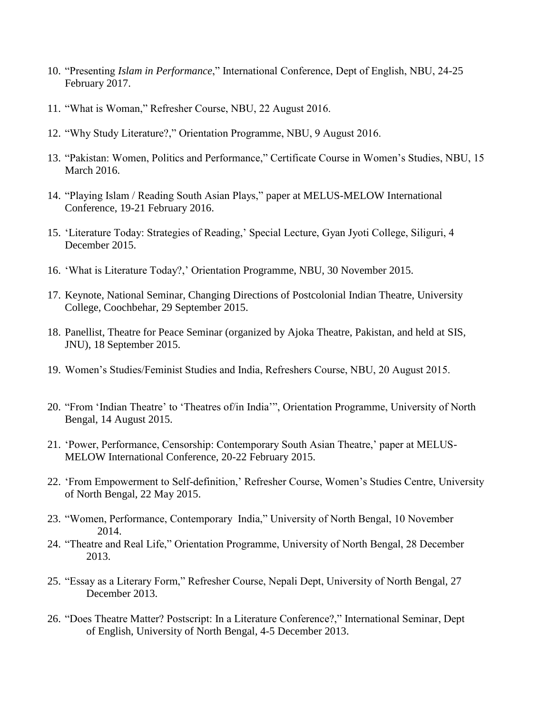- 10. "Presenting *Islam in Performance*," International Conference, Dept of English, NBU, 24-25 February 2017.
- 11. "What is Woman," Refresher Course, NBU, 22 August 2016.
- 12. "Why Study Literature?," Orientation Programme, NBU, 9 August 2016.
- 13. "Pakistan: Women, Politics and Performance," Certificate Course in Women's Studies, NBU, 15 March 2016.
- 14. "Playing Islam / Reading South Asian Plays," paper at MELUS-MELOW International Conference, 19-21 February 2016.
- 15. 'Literature Today: Strategies of Reading,' Special Lecture, Gyan Jyoti College, Siliguri, 4 December 2015.
- 16. 'What is Literature Today?,' Orientation Programme, NBU, 30 November 2015.
- 17. Keynote, National Seminar, Changing Directions of Postcolonial Indian Theatre, University College, Coochbehar, 29 September 2015.
- 18. Panellist, Theatre for Peace Seminar (organized by Ajoka Theatre, Pakistan, and held at SIS, JNU), 18 September 2015.
- 19. Women's Studies/Feminist Studies and India, Refreshers Course, NBU, 20 August 2015.
- 20. "From 'Indian Theatre' to 'Theatres of/in India'", Orientation Programme, University of North Bengal, 14 August 2015.
- 21. 'Power, Performance, Censorship: Contemporary South Asian Theatre,' paper at MELUS-MELOW International Conference, 20-22 February 2015.
- 22. 'From Empowerment to Self-definition,' Refresher Course, Women's Studies Centre, University of North Bengal, 22 May 2015.
- 23. "Women, Performance, Contemporary India," University of North Bengal, 10 November 2014.
- 24. "Theatre and Real Life," Orientation Programme, University of North Bengal, 28 December 2013.
- 25. "Essay as a Literary Form," Refresher Course, Nepali Dept, University of North Bengal, 27 December 2013.
- 26. "Does Theatre Matter? Postscript: In a Literature Conference?," International Seminar, Dept of English, University of North Bengal, 4-5 December 2013.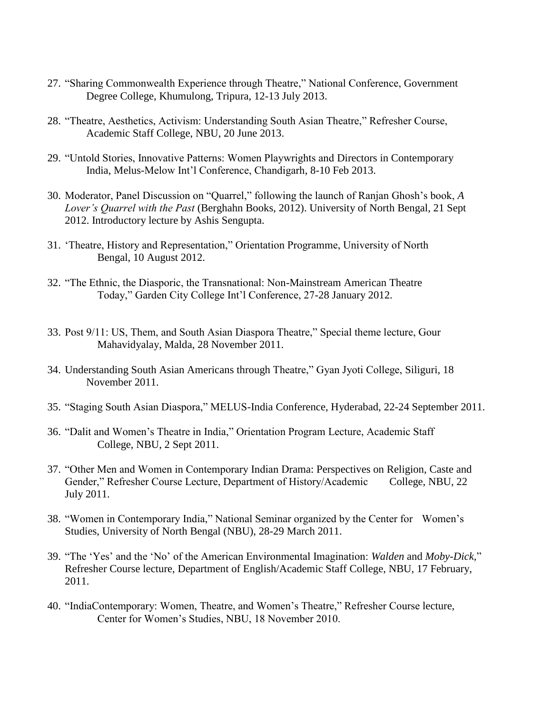- 27. "Sharing Commonwealth Experience through Theatre," National Conference, Government Degree College, Khumulong, Tripura, 12-13 July 2013.
- 28. "Theatre, Aesthetics, Activism: Understanding South Asian Theatre," Refresher Course, Academic Staff College, NBU, 20 June 2013.
- 29. "Untold Stories, Innovative Patterns: Women Playwrights and Directors in Contemporary India, Melus-Melow Int'l Conference, Chandigarh, 8-10 Feb 2013.
- 30. Moderator, Panel Discussion on "Quarrel," following the launch of Ranjan Ghosh's book, *A Lover's Quarrel with the Past* (Berghahn Books, 2012). University of North Bengal, 21 Sept 2012. Introductory lecture by Ashis Sengupta.
- 31. 'Theatre, History and Representation," Orientation Programme, University of North Bengal, 10 August 2012.
- 32. "The Ethnic, the Diasporic, the Transnational: Non-Mainstream American Theatre Today," Garden City College Int'l Conference, 27-28 January 2012.
- 33. Post 9/11: US, Them, and South Asian Diaspora Theatre," Special theme lecture, Gour Mahavidyalay, Malda, 28 November 2011.
- 34. Understanding South Asian Americans through Theatre," Gyan Jyoti College, Siliguri, 18 November 2011.
- 35. "Staging South Asian Diaspora," MELUS-India Conference, Hyderabad, 22-24 September 2011.
- 36. "Dalit and Women's Theatre in India," Orientation Program Lecture, Academic Staff College, NBU, 2 Sept 2011.
- 37. "Other Men and Women in Contemporary Indian Drama: Perspectives on Religion, Caste and Gender," Refresher Course Lecture, Department of History/Academic College, NBU, 22 July 2011.
- 38. "Women in Contemporary India," National Seminar organized by the Center for Women's Studies, University of North Bengal (NBU), 28-29 March 2011.
- 39. "The 'Yes' and the 'No' of the American Environmental Imagination: *Walden* and *Moby-Dick,*" Refresher Course lecture, Department of English/Academic Staff College, NBU, 17 February, 2011.
- 40. "IndiaContemporary: Women, Theatre, and Women's Theatre," Refresher Course lecture, Center for Women's Studies, NBU, 18 November 2010.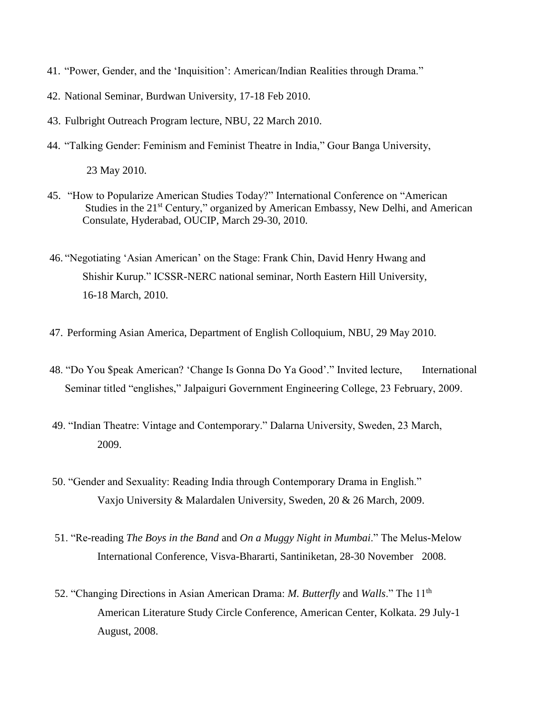- 41. "Power, Gender, and the 'Inquisition': American/Indian Realities through Drama."
- 42. National Seminar, Burdwan University, 17-18 Feb 2010.
- 43. Fulbright Outreach Program lecture, NBU, 22 March 2010.
- 44. "Talking Gender: Feminism and Feminist Theatre in India," Gour Banga University,

23 May 2010.

- 45. "How to Popularize American Studies Today?" International Conference on "American Studies in the 21<sup>st</sup> Century," organized by American Embassy, New Delhi, and American Consulate, Hyderabad, OUCIP, March 29-30, 2010.
- 46. "Negotiating 'Asian American' on the Stage: Frank Chin, David Henry Hwang and Shishir Kurup." ICSSR-NERC national seminar, North Eastern Hill University, 16-18 March, 2010.
- 47. Performing Asian America, Department of English Colloquium, NBU, 29 May 2010.
- 48. "Do You \$peak American? 'Change Is Gonna Do Ya Good'." Invited lecture, International Seminar titled "englishes," Jalpaiguri Government Engineering College, 23 February, 2009.
- 49. "Indian Theatre: Vintage and Contemporary." Dalarna University, Sweden, 23 March, 2009.
- 50. "Gender and Sexuality: Reading India through Contemporary Drama in English." Vaxjo University & Malardalen University, Sweden, 20 & 26 March, 2009.
- 51. "Re-reading *The Boys in the Band* and *On a Muggy Night in Mumbai*." The Melus-Melow International Conference, Visva-Bhararti, Santiniketan, 28-30 November 2008.
- 52. "Changing Directions in Asian American Drama: *M. Butterfly* and *Walls*." The 11th American Literature Study Circle Conference, American Center, Kolkata. 29 July-1 August, 2008.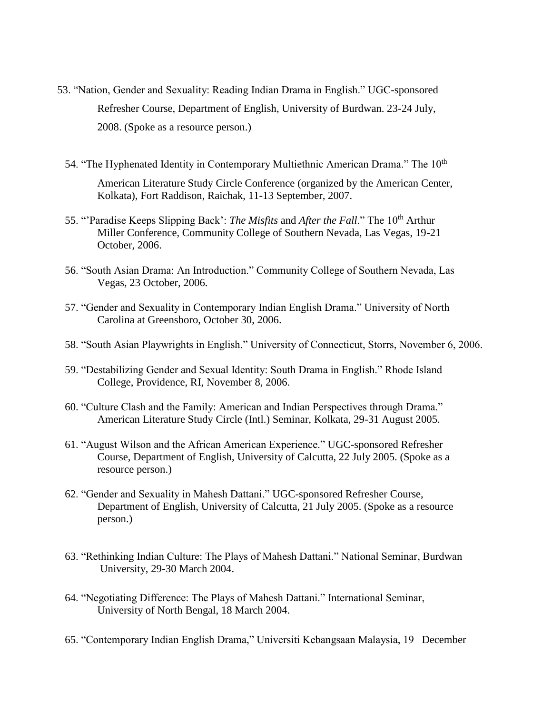- 53. "Nation, Gender and Sexuality: Reading Indian Drama in English." UGC-sponsored Refresher Course, Department of English, University of Burdwan. 23-24 July, 2008. (Spoke as a resource person.)
	- 54. "The Hyphenated Identity in Contemporary Multiethnic American Drama." The 10<sup>th</sup> American Literature Study Circle Conference (organized by the American Center, Kolkata), Fort Raddison, Raichak, 11-13 September, 2007.
	- 55. "Paradise Keeps Slipping Back': *The Misfits* and *After the Fall*." The 10<sup>th</sup> Arthur Miller Conference, Community College of Southern Nevada, Las Vegas, 19-21 October, 2006.
	- 56. "South Asian Drama: An Introduction." Community College of Southern Nevada, Las Vegas, 23 October, 2006.
	- 57. "Gender and Sexuality in Contemporary Indian English Drama." University of North Carolina at Greensboro, October 30, 2006.
	- 58. "South Asian Playwrights in English." University of Connecticut, Storrs, November 6, 2006.
	- 59. "Destabilizing Gender and Sexual Identity: South Drama in English." Rhode Island College, Providence, RI, November 8, 2006.
	- 60. "Culture Clash and the Family: American and Indian Perspectives through Drama." American Literature Study Circle (Intl.) Seminar, Kolkata, 29-31 August 2005.
	- 61. "August Wilson and the African American Experience." UGC-sponsored Refresher Course, Department of English, University of Calcutta, 22 July 2005. (Spoke as a resource person.)
	- 62. "Gender and Sexuality in Mahesh Dattani." UGC-sponsored Refresher Course, Department of English, University of Calcutta, 21 July 2005. (Spoke as a resource person.)
	- 63. "Rethinking Indian Culture: The Plays of Mahesh Dattani." National Seminar, Burdwan University, 29-30 March 2004.
	- 64. "Negotiating Difference: The Plays of Mahesh Dattani." International Seminar, University of North Bengal, 18 March 2004.
	- 65. "Contemporary Indian English Drama," Universiti Kebangsaan Malaysia, 19 December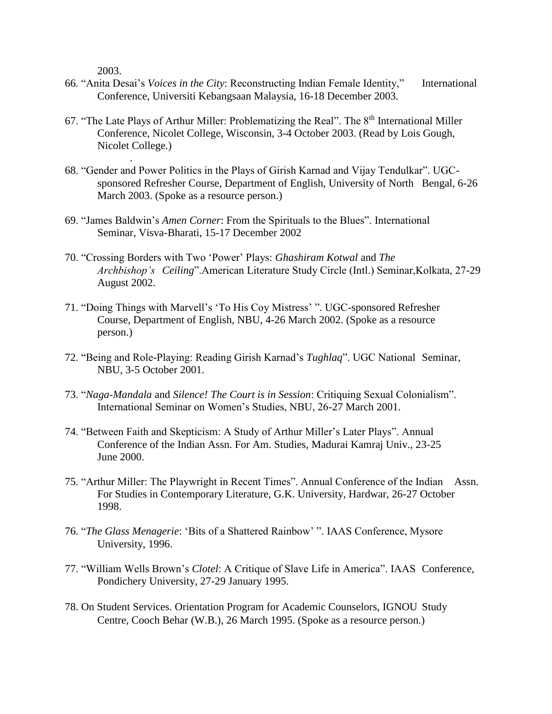2003.

.

- 66. "Anita Desai's *Voices in the City*: Reconstructing Indian Female Identity," International Conference, Universiti Kebangsaan Malaysia, 16-18 December 2003.
- 67. "The Late Plays of Arthur Miller: Problematizing the Real". The  $8<sup>th</sup>$  International Miller Conference, Nicolet College, Wisconsin, 3-4 October 2003. (Read by Lois Gough, Nicolet College.)
- 68. "Gender and Power Politics in the Plays of Girish Karnad and Vijay Tendulkar". UGCsponsored Refresher Course, Department of English, University of North Bengal, 6-26 March 2003. (Spoke as a resource person.)
- 69. "James Baldwin's *Amen Corner*: From the Spirituals to the Blues". International Seminar, Visva-Bharati, 15-17 December 2002
- 70. "Crossing Borders with Two 'Power' Plays: *Ghashiram Kotwal* and *The Archbishop's Ceiling*".American Literature Study Circle (Intl.) Seminar,Kolkata, 27-29 August 2002.
- 71. "Doing Things with Marvell's 'To His Coy Mistress' ". UGC-sponsored Refresher Course, Department of English, NBU, 4-26 March 2002. (Spoke as a resource person.)
- 72. "Being and Role-Playing: Reading Girish Karnad's *Tughlaq*". UGC National Seminar, NBU, 3-5 October 2001.
- 73. "*Naga-Mandala* and *Silence! The Court is in Session*: Critiquing Sexual Colonialism". International Seminar on Women's Studies, NBU, 26-27 March 2001.
- 74. "Between Faith and Skepticism: A Study of Arthur Miller's Later Plays". Annual Conference of the Indian Assn. For Am. Studies, Madurai Kamraj Univ., 23-25 June 2000.
- 75. "Arthur Miller: The Playwright in Recent Times". Annual Conference of the Indian Assn. For Studies in Contemporary Literature, G.K. University, Hardwar, 26-27 October 1998.
- 76. "*The Glass Menagerie*: 'Bits of a Shattered Rainbow' ". IAAS Conference, Mysore University, 1996.
- 77. "William Wells Brown's *Clotel*: A Critique of Slave Life in America". IAAS Conference, Pondichery University, 27-29 January 1995.
- 78. On Student Services. Orientation Program for Academic Counselors, IGNOU Study Centre, Cooch Behar (W.B.), 26 March 1995. (Spoke as a resource person.)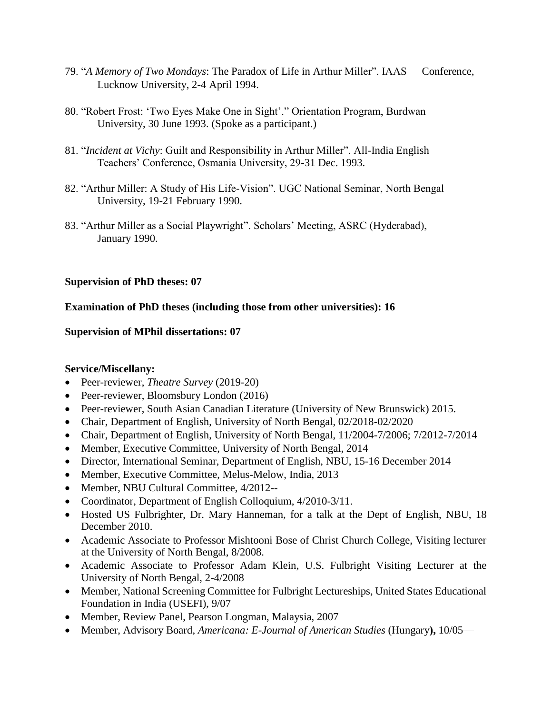- 79. "*A Memory of Two Mondays*: The Paradox of Life in Arthur Miller". IAAS Conference, Lucknow University, 2-4 April 1994.
- 80. "Robert Frost: 'Two Eyes Make One in Sight'." Orientation Program, Burdwan University, 30 June 1993. (Spoke as a participant.)
- 81. "*Incident at Vichy*: Guilt and Responsibility in Arthur Miller". All-India English Teachers' Conference, Osmania University, 29-31 Dec. 1993.
- 82. "Arthur Miller: A Study of His Life-Vision". UGC National Seminar, North Bengal University, 19-21 February 1990.
- 83. "Arthur Miller as a Social Playwright". Scholars' Meeting, ASRC (Hyderabad), January 1990.

# **Supervision of PhD theses: 07**

# **Examination of PhD theses (including those from other universities): 16**

### **Supervision of MPhil dissertations: 07**

# **Service/Miscellany:**

- Peer-reviewer, *Theatre Survey* (2019-20)
- Peer-reviewer, Bloomsbury London (2016)
- Peer-reviewer, South Asian Canadian Literature (University of New Brunswick) 2015.
- Chair, Department of English, University of North Bengal, 02/2018-02/2020
- Chair, Department of English, University of North Bengal, 11/2004-7/2006; 7/2012-7/2014
- Member, Executive Committee, University of North Bengal, 2014
- Director, International Seminar, Department of English, NBU, 15-16 December 2014
- Member, Executive Committee, Melus-Melow, India, 2013
- Member, NBU Cultural Committee, 4/2012--
- Coordinator, Department of English Colloquium, 4/2010-3/11.
- Hosted US Fulbrighter, Dr. Mary Hanneman, for a talk at the Dept of English, NBU, 18 December 2010.
- Academic Associate to Professor Mishtooni Bose of Christ Church College, Visiting lecturer at the University of North Bengal, 8/2008.
- Academic Associate to Professor Adam Klein, U.S. Fulbright Visiting Lecturer at the University of North Bengal, 2-4/2008
- Member, National Screening Committee for Fulbright Lectureships, United States Educational Foundation in India (USEFI), 9/07
- Member, Review Panel, Pearson Longman, Malaysia, 2007
- Member, Advisory Board, *Americana: E-Journal of American Studies* (Hungary**),** 10/05—